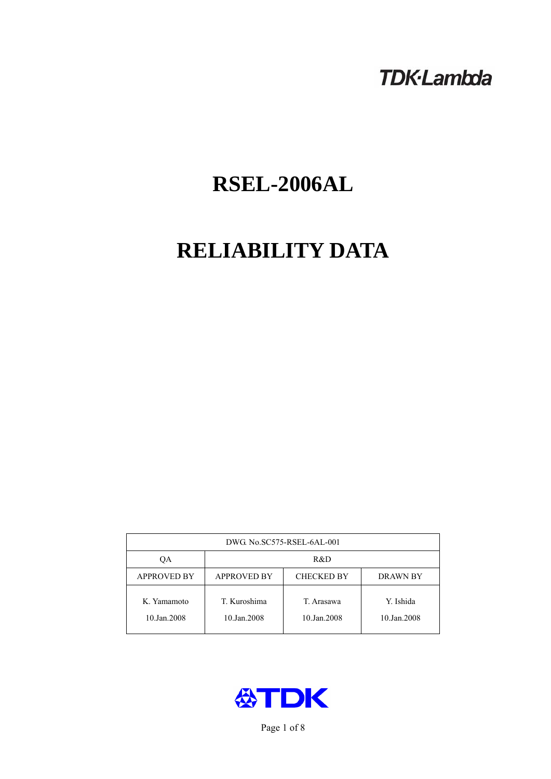# **TDK-Lambda**

# **RSEL-2006AL**

# **RELIABILITY DATA**

| DWG. No.SC575-RSEL-6AL-001 |                                                     |                           |                          |  |  |
|----------------------------|-----------------------------------------------------|---------------------------|--------------------------|--|--|
| OА                         | R&D                                                 |                           |                          |  |  |
| <b>APPROVED BY</b>         | <b>APPROVED BY</b><br><b>CHECKED BY</b><br>DRAWN BY |                           |                          |  |  |
| K. Yamamoto<br>10.Jan.2008 | T. Kuroshima<br>10.Jan.2008                         | T. Arasawa<br>10.Jan.2008 | Y. Ishida<br>10.Jan.2008 |  |  |



Page 1 of 8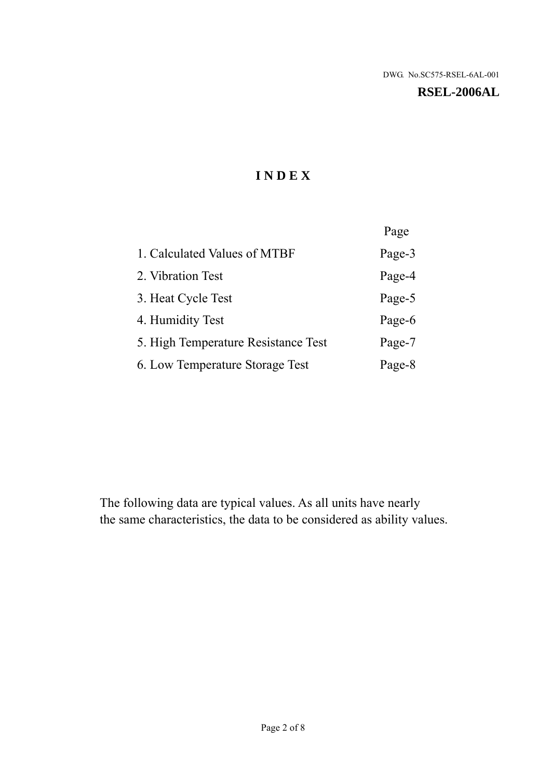# **RSEL-2006AL**

# **I N D E X**

|                                     | Page   |
|-------------------------------------|--------|
| 1. Calculated Values of MTBF        | Page-3 |
| 2. Vibration Test                   | Page-4 |
| 3. Heat Cycle Test                  | Page-5 |
| 4. Humidity Test                    | Page-6 |
| 5. High Temperature Resistance Test | Page-7 |
| 6. Low Temperature Storage Test     | Page-8 |

The following data are typical values. As all units have nearly the same characteristics, the data to be considered as ability values.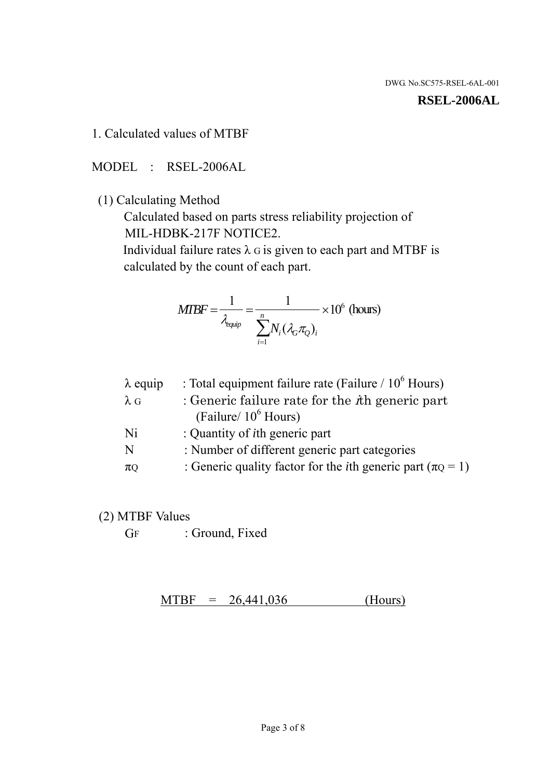#### **RSEL-2006AL**

1. Calculated values of MTBF

MODEL : RSEL-2006AL

(1) Calculating Method

 Calculated based on parts stress reliability projection of MIL-HDBK-217F NOTICE2.

Individual failure rates  $\lambda$  G is given to each part and MTBF is calculated by the count of each part.

$$
MIBF = \frac{1}{\lambda_{\text{equip}}} = \frac{1}{\sum_{i=1}^{n} N_i (\lambda_G \pi_Q)_i} \times 10^6 \text{ (hours)}
$$

| : Total equipment failure rate (Failure / $10^6$ Hours)                   |
|---------------------------------------------------------------------------|
| : Generic failure rate for the $\hbar$ generic part                       |
| (Failure/ $10^6$ Hours)                                                   |
| : Quantity of <i>i</i> th generic part                                    |
| : Number of different generic part categories                             |
| : Generic quality factor for the <i>i</i> th generic part ( $\pi Q = 1$ ) |
|                                                                           |

- (2) MTBF Values
	- GF : Ground, Fixed

 $MTBF = 26,441,036$  (Hours)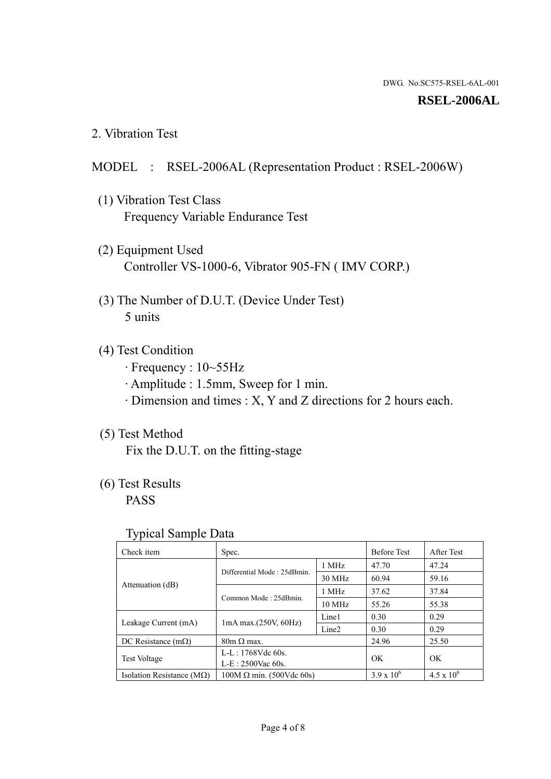#### **RSEL-2006AL**

2. Vibration Test

# MODEL : RSEL-2006AL (Representation Product : RSEL-2006W)

- (1) Vibration Test Class Frequency Variable Endurance Test
- (2) Equipment Used Controller VS-1000-6, Vibrator 905-FN ( IMV CORP.)
- (3) The Number of D.U.T. (Device Under Test) 5 units
- (4) Test Condition
	- · Frequency : 10~55Hz
	- · Amplitude : 1.5mm, Sweep for 1 min.
	- · Dimension and times : X, Y and Z directions for 2 hours each.

# (5) Test Method

Fix the D.U.T. on the fitting-stage

# (6) Test Results

PASS

#### Typical Sample Data

| . .                                |                                 |                   |                     |                     |
|------------------------------------|---------------------------------|-------------------|---------------------|---------------------|
| Check item                         | Spec.                           |                   | <b>Before Test</b>  | After Test          |
| Attenuation (dB)                   | Differential Mode: 25dBmin.     | 1 MHz             | 47.70               | 47.24               |
|                                    |                                 | 30 MHz            | 60.94               | 59.16               |
|                                    | Common Mode: 25dBmin.           | 1 MHz             | 37.62               | 37.84               |
|                                    |                                 | $10 \text{ MHz}$  | 55.26               | 55.38               |
| Leakage Current (mA)               | $1mA$ max. $(250V, 60Hz)$       | Line1             | 0.30                | 0.29                |
|                                    |                                 | Line <sub>2</sub> | 0.30                | 0.29                |
| DC Resistance $(m\Omega)$          | $80m \Omega$ max.               |                   | 24.96               | 25.50               |
| <b>Test Voltage</b>                | $L-L: 1768Vdc$ 60s.             |                   | OK                  | OK.                 |
|                                    | $L-E$ : 2500Vac 60s.            |                   |                     |                     |
| Isolation Resistance ( $M\Omega$ ) | $100M \Omega$ min. (500Vdc 60s) |                   | $3.9 \times 10^{6}$ | $4.5 \times 10^{6}$ |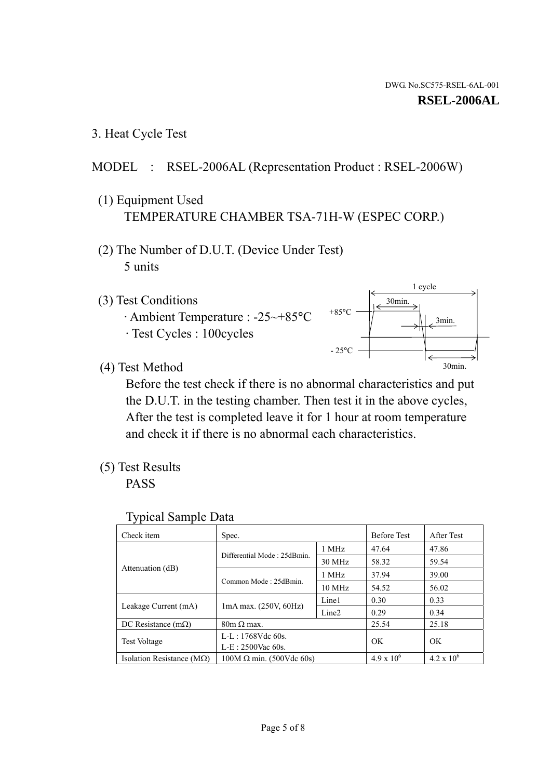1 cycle

30min.

3min.

30min.

3. Heat Cycle Test

# MODEL : RSEL-2006AL (Representation Product : RSEL-2006W)

- (1) Equipment Used TEMPERATURE CHAMBER TSA-71H-W (ESPEC CORP.)
- (2) The Number of D.U.T. (Device Under Test) 5 units
- (3) Test Conditions
	- · Ambient Temperature : -25~+85°C · Test Cycles : 100cycles
- (4) Test Method

 Before the test check if there is no abnormal characteristics and put the D.U.T. in the testing chamber. Then test it in the above cycles, After the test is completed leave it for 1 hour at room temperature and check it if there is no abnormal each characteristics.

 $+85$ °C

 $-25$ °C

(5) Test Results

PASS

| <b>Typical Sample Data</b> |  |  |
|----------------------------|--|--|
|----------------------------|--|--|

| Check item                         | Spec.                           |                   | <b>Before Test</b>  | After Test        |
|------------------------------------|---------------------------------|-------------------|---------------------|-------------------|
|                                    | Differential Mode: 25dBmin.     | 1 MHz             | 47.64               | 47.86             |
|                                    |                                 | 30 MHz            | 58.32               | 59.54             |
| Attenuation (dB)                   | Common Mode: 25dBmin.           | 1 MHz             | 37.94               | 39.00             |
|                                    |                                 | $10 \text{ MHz}$  | 54.52               | 56.02             |
| Leakage Current (mA)               | $1mA$ max. $(250V, 60Hz)$       | Line1             | 0.30                | 0.33              |
|                                    |                                 | Line <sub>2</sub> | 0.29                | 0.34              |
| DC Resistance $(m\Omega)$          | $80m \Omega$ max.               |                   | 25.54               | 25.18             |
| Test Voltage                       | $L-L: 1768Vdc$ 60s.             |                   | OK                  | OK                |
|                                    | $L-E: 2500$ Vac 60s.            |                   |                     |                   |
| Isolation Resistance ( $M\Omega$ ) | $100M \Omega$ min. (500Vdc 60s) |                   | $4.9 \times 10^{6}$ | $4.2 \times 10^6$ |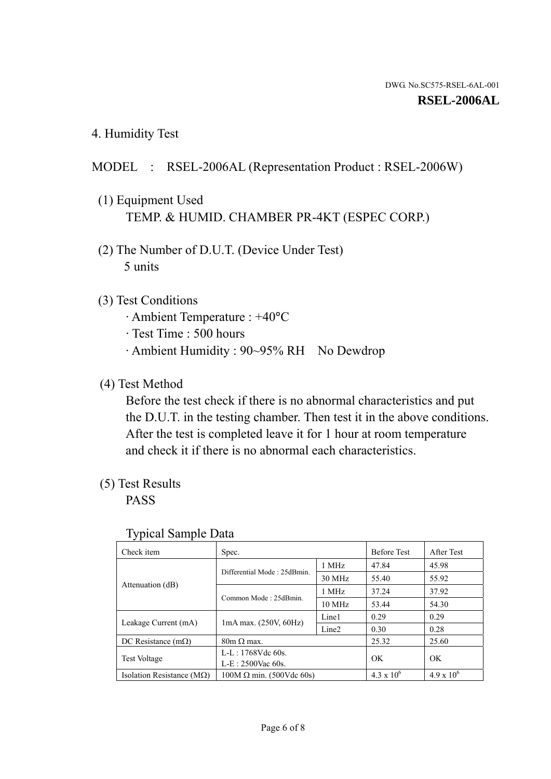4. Humidity Test

# MODEL : RSEL-2006AL (Representation Product : RSEL-2006W)

- (1) Equipment Used TEMP. & HUMID. CHAMBER PR-4KT (ESPEC CORP.)
- (2) The Number of D.U.T. (Device Under Test) 5 units

# (3) Test Conditions

- · Ambient Temperature : +40°C
- · Test Time : 500 hours
- · Ambient Humidity : 90~95% RH No Dewdrop

### (4) Test Method

 Before the test check if there is no abnormal characteristics and put the D.U.T. in the testing chamber. Then test it in the above conditions. After the test is completed leave it for 1 hour at room temperature and check it if there is no abnormal each characteristics.

# (5) Test Results

PASS

| ╯┸                                 |                                 |                   |                     |                     |
|------------------------------------|---------------------------------|-------------------|---------------------|---------------------|
| Check item                         | Spec.                           |                   | <b>Before Test</b>  | After Test          |
| Attenuation (dB)                   | Differential Mode: 25dBmin.     | 1 MHz             | 47.84               | 45.98               |
|                                    |                                 | 30 MHz            | 55.40               | 55.92               |
|                                    | Common Mode: 25dBmin.           | 1 MHz             | 37.24               | 37.92               |
|                                    |                                 | 10 MHz            | 53.44               | 54.30               |
| Leakage Current (mA)               | $1mA$ max. $(250V, 60Hz)$       | Line1             | 0.29                | 0.29                |
|                                    |                                 | Line <sub>2</sub> | 0.30                | 0.28                |
| DC Resistance $(m\Omega)$          | $80m \Omega$ max.               |                   | 25.32               | 25.60               |
| <b>Test Voltage</b>                | $L-L: 1768Vdc$ 60s.             |                   | OK                  | OK                  |
|                                    | $L-E: 2500$ Vac 60s.            |                   |                     |                     |
| Isolation Resistance ( $M\Omega$ ) | $100M \Omega$ min. (500Vdc 60s) |                   | $4.3 \times 10^{6}$ | $4.9 \times 10^{6}$ |

#### Typical Sample Data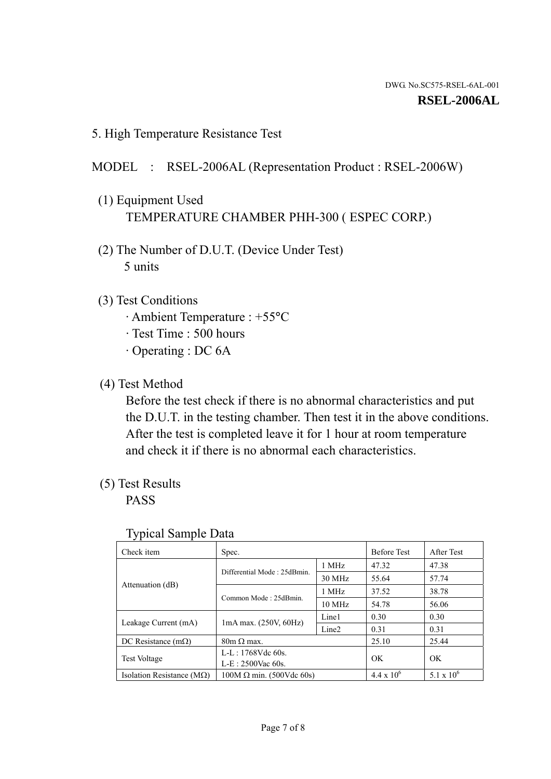5. High Temperature Resistance Test

# MODEL : RSEL-2006AL (Representation Product : RSEL-2006W)

- (1) Equipment Used TEMPERATURE CHAMBER PHH-300 ( ESPEC CORP.)
- (2) The Number of D.U.T. (Device Under Test) 5 units
- (3) Test Conditions
	- · Ambient Temperature : +55°C
	- · Test Time : 500 hours
	- · Operating : DC 6A
- (4) Test Method

 Before the test check if there is no abnormal characteristics and put the D.U.T. in the testing chamber. Then test it in the above conditions. After the test is completed leave it for 1 hour at room temperature and check it if there is no abnormal each characteristics.

(5) Test Results

PASS

| J 1                                |                                 |                   |                     |              |
|------------------------------------|---------------------------------|-------------------|---------------------|--------------|
| Check item                         | Spec.                           |                   | <b>Before Test</b>  | After Test   |
|                                    | Differential Mode: 25dBmin.     | 1 MHz             | 47.32               | 47.38        |
|                                    |                                 | 30 MHz            | 55.64               | 57.74        |
| Attenuation (dB)                   | Common Mode: 25dBmin.           | 1 MHz             | 37.52               | 38.78        |
|                                    |                                 | $10 \text{ MHz}$  | 54.78               | 56.06        |
| Leakage Current (mA)               | $1mA$ max. $(250V, 60Hz)$       | Line1             | 0.30                | 0.30         |
|                                    |                                 | Line <sub>2</sub> | 0.31                | 0.31         |
| DC Resistance $(m\Omega)$          | $80m \Omega$ max.               |                   | 25.10               | 25.44        |
| <b>Test Voltage</b>                | $L-L: 1768Vdc$ 60s.             |                   | OK                  | OK           |
|                                    | $L-E: 2500$ Vac 60s.            |                   |                     |              |
| Isolation Resistance ( $M\Omega$ ) | $100M \Omega$ min. (500Vdc 60s) |                   | $4.4 \times 10^{6}$ | 5.1 x $10^6$ |

#### Typical Sample Data